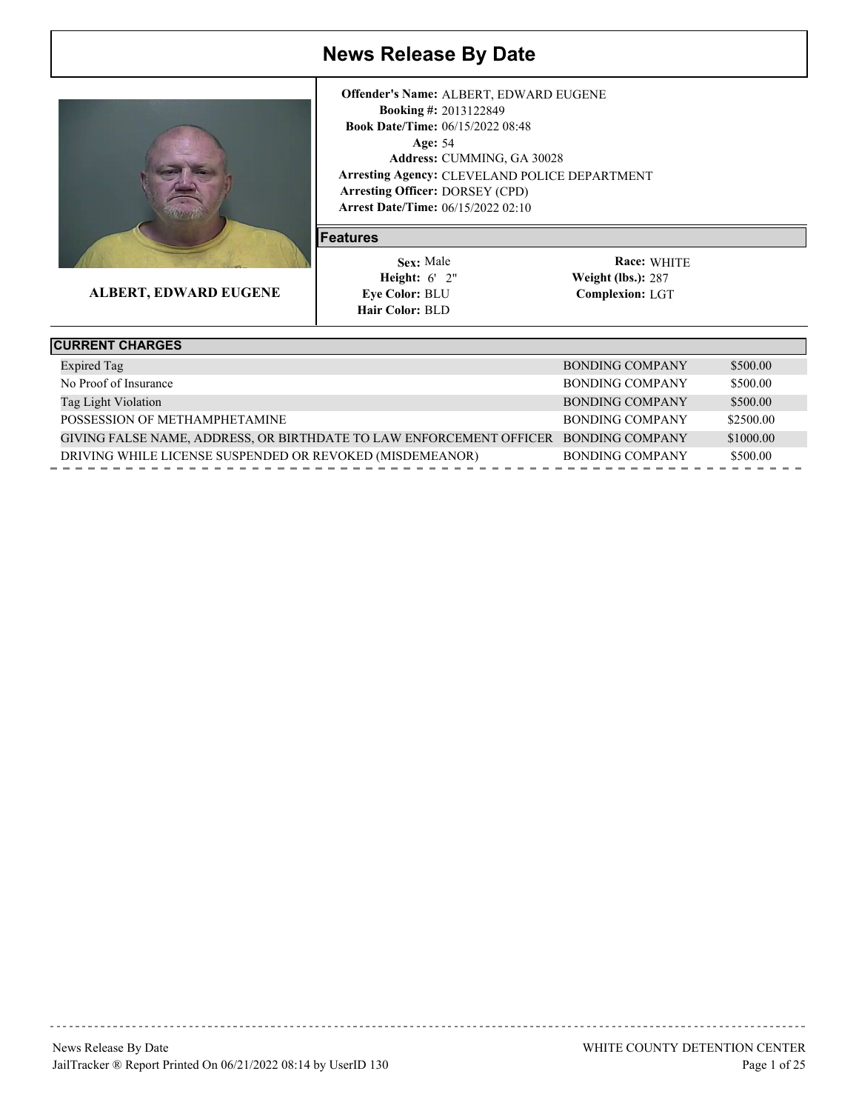

**ALBERT, EDWARD EUGENE**

**Arrest Date/Time:** 06/15/2022 02:10 Age: 54 **Arresting Agency:** CLEVELAND POLICE DEPARTMENT Arresting Officer: DORSEY (CPD) 2013122849 **Booking #:** 06/15/2022 08:48 **Book Date/Time:** CUMMING, GA 30028 **Address: Offender's Name:** ALBERT, EDWARD EUGENE

#### **Features**

 6' 2" **Height: Weight (lbs.):** Sex: Male **Eye Color: BLU Hair Color: BLD** 

| <b>CURRENT CHARGES</b>                                              |                        |           |
|---------------------------------------------------------------------|------------------------|-----------|
| <b>Expired Tag</b>                                                  | <b>BONDING COMPANY</b> | \$500.00  |
| No Proof of Insurance                                               | BONDING COMPANY        | \$500.00  |
| Tag Light Violation                                                 | BONDING COMPANY        | \$500.00  |
| POSSESSION OF METHAMPHETAMINE                                       | BONDING COMPANY        | \$2500.00 |
| GIVING FALSE NAME, ADDRESS, OR BIRTHDATE TO LAW ENFORCEMENT OFFICER | BONDING COMPANY        | \$1000.00 |
| DRIVING WHILE LICENSE SUSPENDED OR REVOKED (MISDEMEANOR)            | BONDING COMPANY        | \$500.00  |
|                                                                     |                        |           |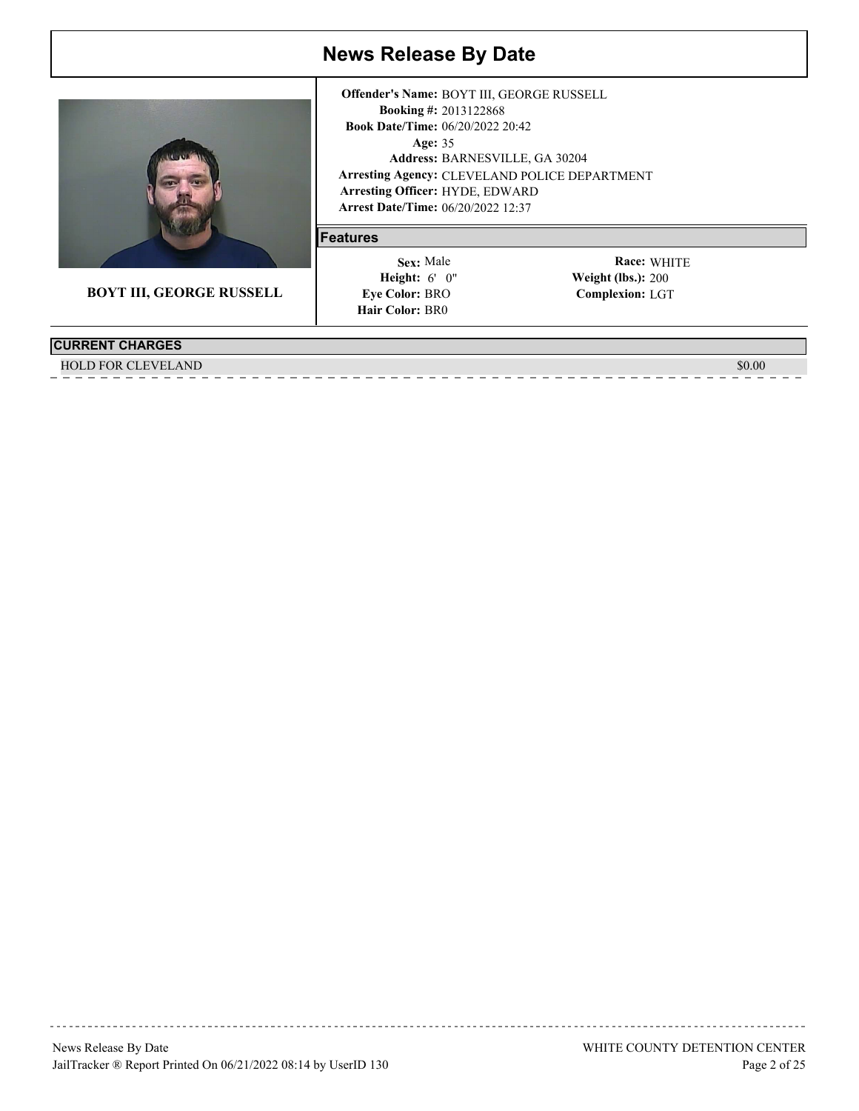

**BOYT III, GEORGE RUSSELL**

#### **CURRENT CHARGES**

HOLD FOR CLEVELAND \$0.00 \$0.00 \$0.00 \$0.00 \$0.00 \$0.00 \$0.00 \$0.00 \$0.00 \$0.00 \$0.00 \$0.00 \$0.00 \$0.00 \$0.00 \$

**Arrest Date/Time:** 06/20/2022 12:37 Age: 35 **Arresting Agency:** CLEVELAND POLICE DEPARTMENT Arresting Officer: HYDE, EDWARD 2013122868 **Booking #:** Book Date/Time: 06/20/2022 20:42 BARNESVILLE, GA 30204 **Address: Offender's Name:** BOYT III, GEORGE RUSSELL

#### **Features**

 6' 0" **Height: Weight (lbs.):** Sex: Male **Eye Color: BRO Hair Color: BR0**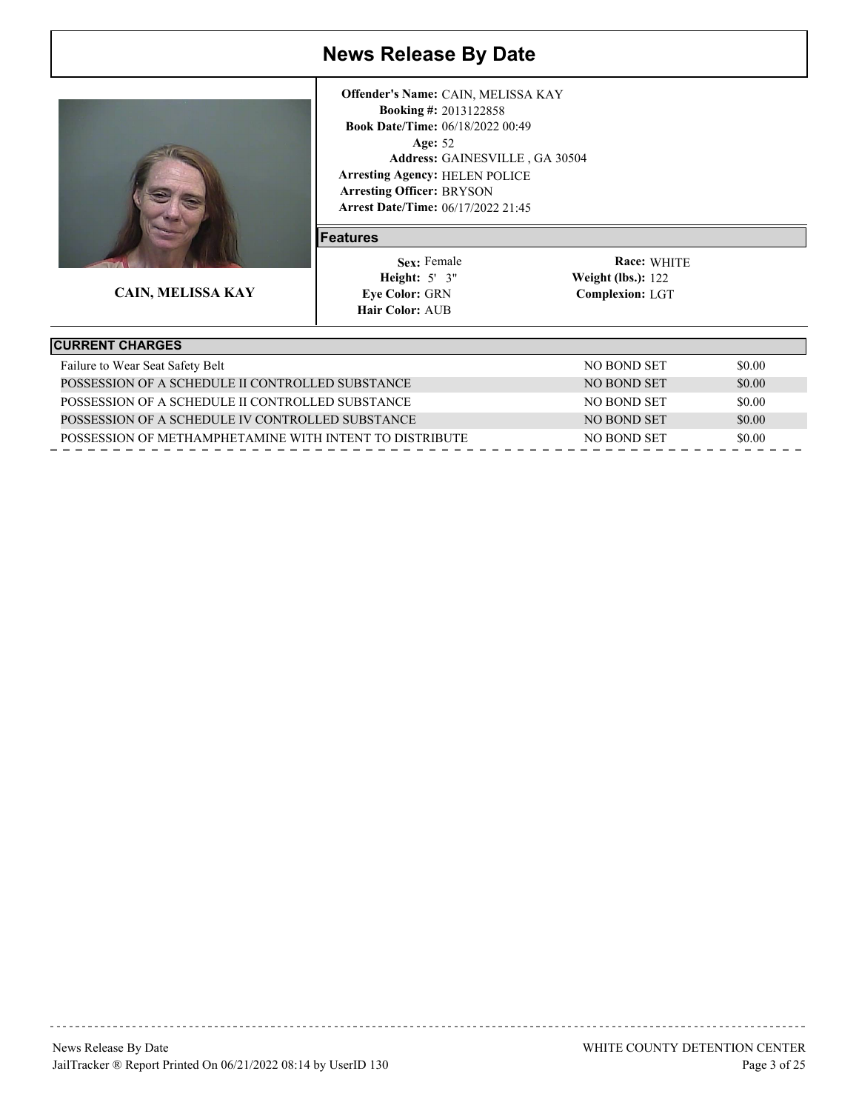

**CAIN, MELISSA KAY**

**Arrest Date/Time:** 06/17/2022 21:45 Age: 52 **Arresting Agency:** HELEN POLICE Arresting Officer: BRYSON 2013122858 **Booking #:** Book Date/Time: 06/18/2022 00:49 GAINESVILLE , GA 30504 **Address: Offender's Name:** CAIN, MELISSA KAY

#### **Features**

 5' 3" **Height: Weight (lbs.):** Sex: Female **Eye Color:** GRN **Hair Color: AUB** 

| <b>CURRENT CHARGES</b>                                  |             |        |
|---------------------------------------------------------|-------------|--------|
| Failure to Wear Seat Safety Belt                        | NO BOND SET | \$0.00 |
| POSSESSION OF A SCHEDULE II CONTROLLED SUBSTANCE        | NO BOND SET | \$0.00 |
| POSSESSION OF A SCHEDULE II CONTROLLED SUBSTANCE        | NO BOND SET | \$0.00 |
| POSSESSION OF A SCHEDULE IV CONTROLLED SUBSTANCE        | NO BOND SET | \$0.00 |
| POSSESSION OF METHAMPHETAMINE WITH INTENT TO DISTRIBUTE | NO BOND SET | \$0.00 |
|                                                         |             |        |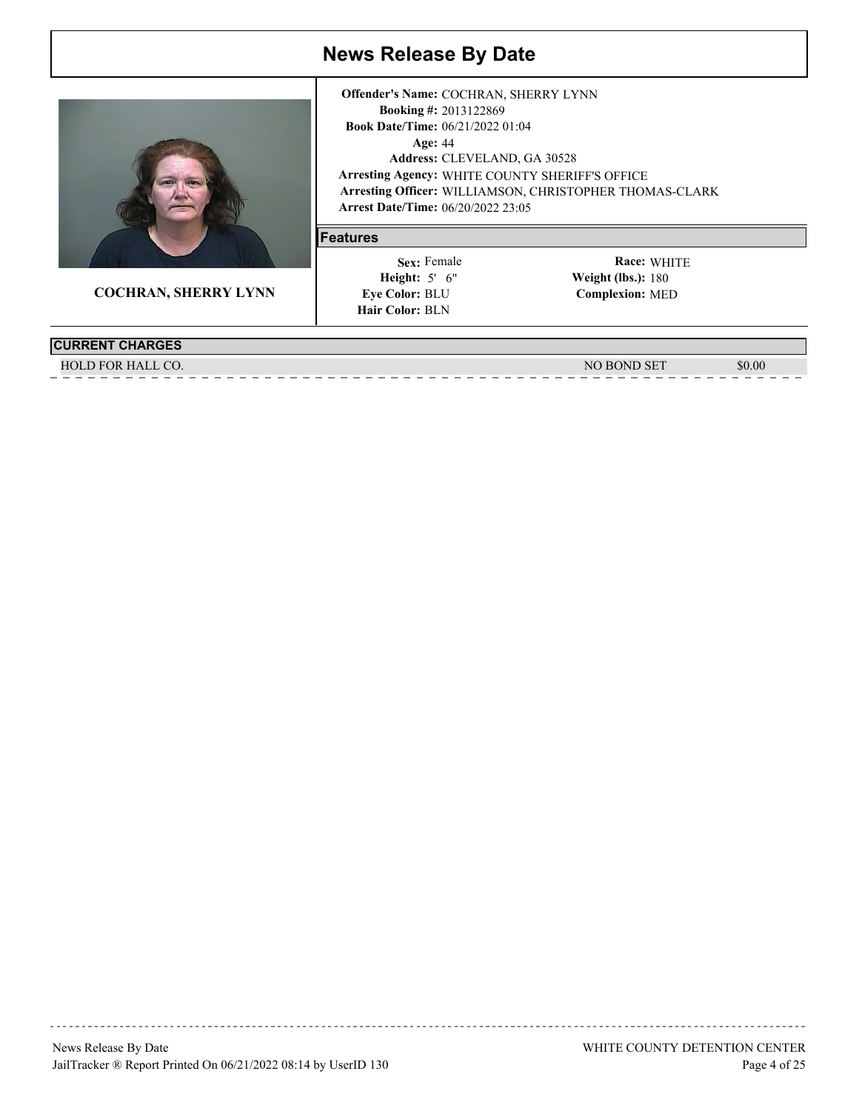

**COCHRAN, SHERRY LYNN**

**Arrest Date/Time:** 06/20/2022 23:05 Age: 44 **Arresting Agency:** WHITE COUNTY SHERIFF'S OFFICE Arresting Officer: WILLIAMSON, CHRISTOPHER THOMAS-CLARK 2013122869 **Booking #:** 06/21/2022 01:04 **Book Date/Time:** CLEVELAND, GA 30528 **Address: Offender's Name:** COCHRAN, SHERRY LYNN

#### **Features**

 5' 6" **Height: Weight (lbs.):** Sex: Female **Eye Color: BLU Hair Color: BLN** 

| <b>CURRENT CHARGES</b> |                 |        |
|------------------------|-----------------|--------|
| HALL CO.<br>.D FOR     | <b>BOND SET</b> | \$0.00 |
|                        |                 |        |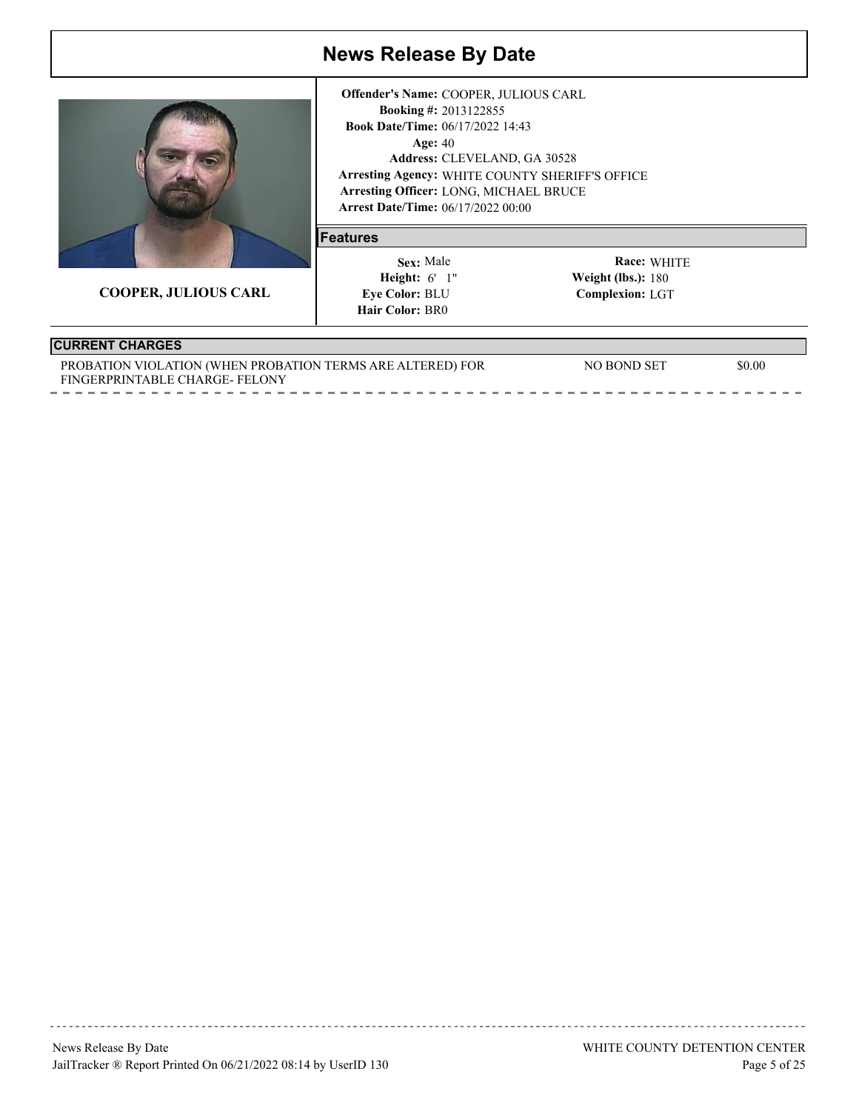

**COOPER, JULIOUS CARL**

**Arrest Date/Time:** 06/17/2022 00:00 Age: 40 **Arresting Agency:** WHITE COUNTY SHERIFF'S OFFICE Arresting Officer: LONG, MICHAEL BRUCE 2013122855 **Booking #:** 06/17/2022 14:43 **Book Date/Time:** CLEVELAND, GA 30528 **Address: Offender's Name:** COOPER, JULIOUS CARL

#### **Features**

 6' 1" **Height: Weight (lbs.):** Sex: Male **Eye Color: BLU Hair Color: BR0** 

WHITE **Race: Complexion:** LGT Weight (lbs.):  $180$ 

### **CURRENT CHARGES**

| PROBATION VIOLATION (WHEN PROBATION TERMS ARE ALTERED) FOR | NO BOND SET | \$0.00 |
|------------------------------------------------------------|-------------|--------|
| FINGERPRINTABLE CHARGE-FELONY                              |             |        |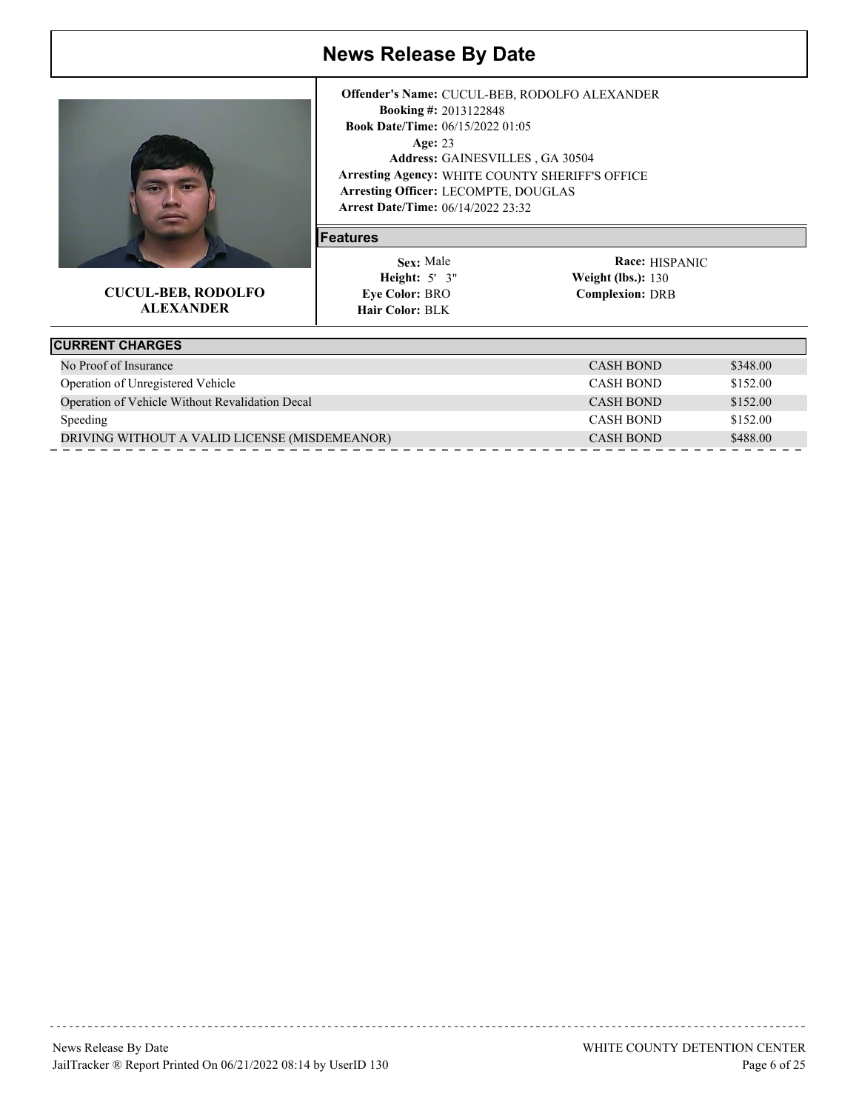

#### **CUCUL-BEB, RODOLFO ALEXANDER**

**Arrest Date/Time:** 06/14/2022 23:32 Age: 23 **Arresting Agency:** WHITE COUNTY SHERIFF'S OFFICE Arresting Officer: LECOMPTE, DOUGLAS 2013122848 **Booking #:** 06/15/2022 01:05 **Book Date/Time:** GAINESVILLES , GA 30504 **Address: Offender's Name:** CUCUL-BEB, RODOLFO ALEXANDER

#### **Features**

 5' 3" **Height: Weight (lbs.):** Sex: Male **Eye Color: BRO Hair Color: BLK** 

Race: **HISPANIC Complexion:** DRB **Weight (lbs.): 130** 

| <b>CURRENT CHARGES</b>                          |                  |          |
|-------------------------------------------------|------------------|----------|
| No Proof of Insurance                           | CASH BOND        | \$348.00 |
| Operation of Unregistered Vehicle               | <b>CASH BOND</b> | \$152.00 |
| Operation of Vehicle Without Revalidation Decal | <b>CASH BOND</b> | \$152.00 |
| <b>Speeding</b>                                 | <b>CASH BOND</b> | \$152.00 |
| DRIVING WITHOUT A VALID LICENSE (MISDEMEANOR)   | <b>CASH BOND</b> | \$488.00 |
|                                                 |                  |          |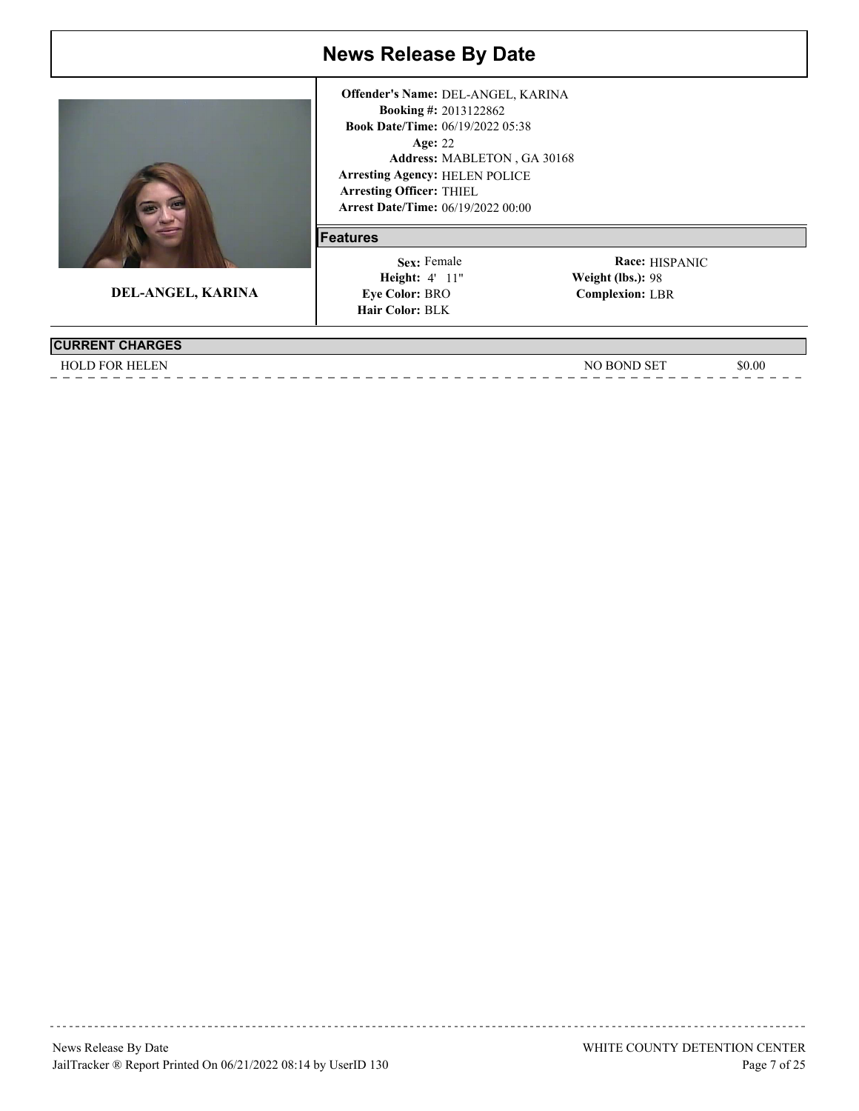

**DEL-ANGEL, KARINA**

**Arrest Date/Time:** 06/19/2022 00:00 Age: 22 **Features Arresting Agency:** HELEN POLICE **Arresting Officer: THIEL** MABLETON , GA 30168 **Address:**

2013122862 **Booking #:**

**Offender's Name:** DEL-ANGEL, KARINA

06/19/2022 05:38 **Book Date/Time:**

# Sex: Female

 4' 11" **Height: Weight (lbs.): Eye Color: BRO Hair Color: BLK** 

Race: **HISPANIC Complexion:** LBR Weight (lbs.): 98

**CURRENT CHARGES**

HOLD FOR HELEN \$0.00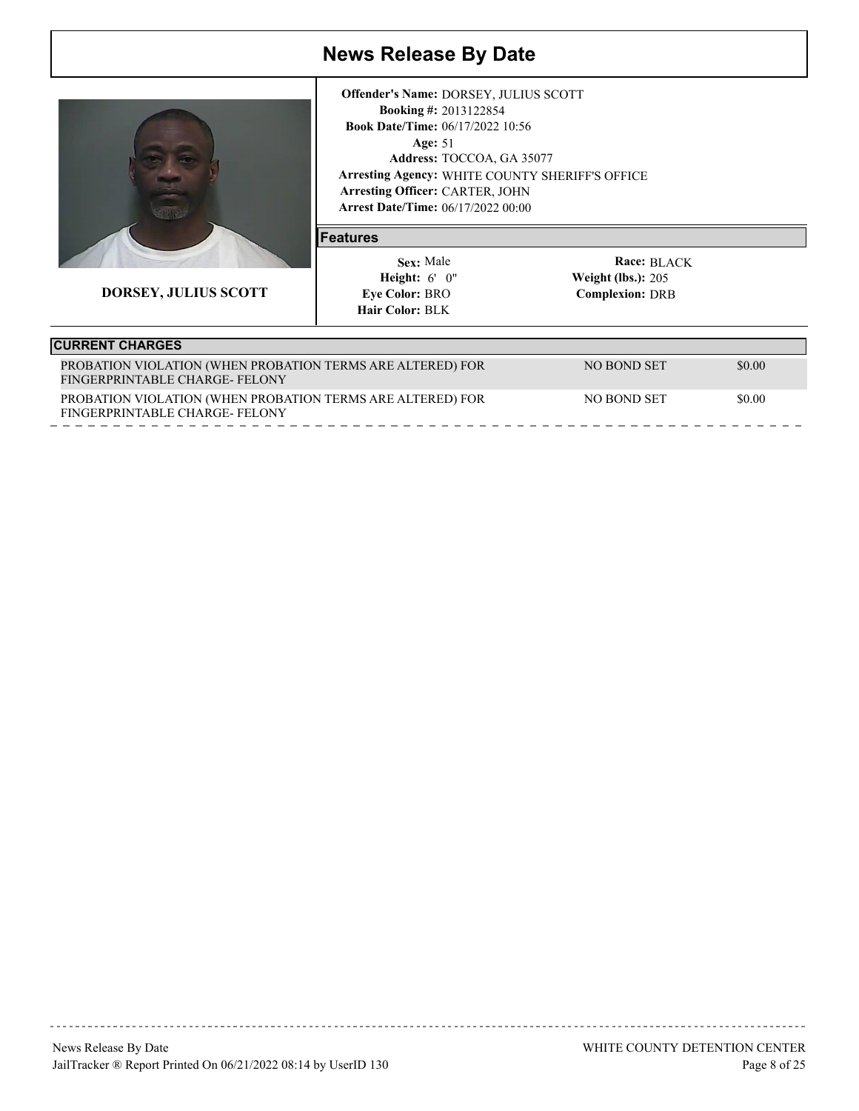

**DORSEY, JULIUS SCOTT**

**Arrest Date/Time:** 06/17/2022 00:00 Age: 51 **Arresting Agency:** WHITE COUNTY SHERIFF'S OFFICE Arresting Officer: CARTER, JOHN 2013122854 **Booking #:** 06/17/2022 10:56 **Book Date/Time:** Address: TOCCOA, GA 35077 **Offender's Name:** DORSEY, JULIUS SCOTT

#### **Features**

 6' 0" **Height: Weight (lbs.):** Sex: Male **Eye Color: BRO Hair Color: BLK** 

Race: BLACK **Complexion:** DRB **Weight (lbs.): 205** 

| <b>CURRENT CHARGES</b>                                                                      |             |        |
|---------------------------------------------------------------------------------------------|-------------|--------|
| PROBATION VIOLATION (WHEN PROBATION TERMS ARE ALTERED) FOR<br>FINGERPRINTABLE CHARGE-FELONY | NO BOND SET | \$0.00 |
| PROBATION VIOLATION (WHEN PROBATION TERMS ARE ALTERED) FOR<br>FINGERPRINTABLE CHARGE-FELONY | NO BOND SET | \$0.00 |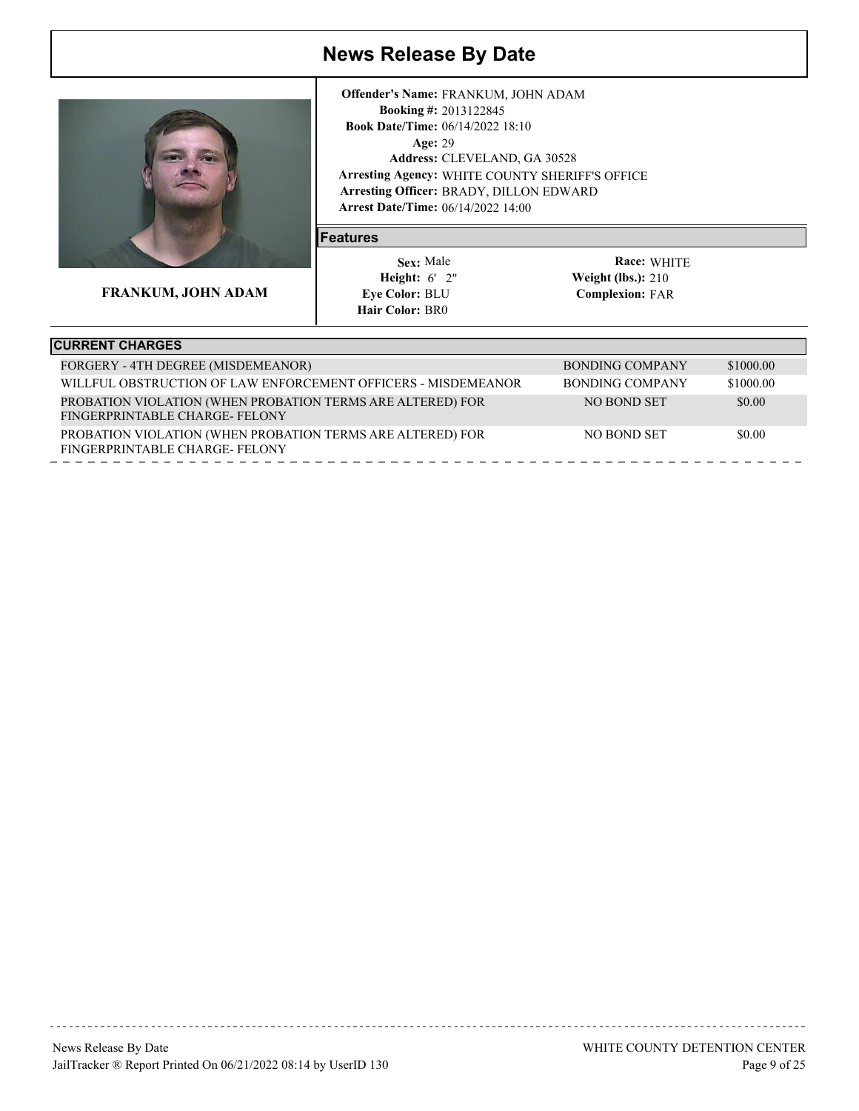

**FRANKUM, JOHN ADAM**

**Arrest Date/Time:** 06/14/2022 14:00 Age: 29 **Arresting Agency:** WHITE COUNTY SHERIFF'S OFFICE Arresting Officer: BRADY, DILLON EDWARD 2013122845 **Booking #:** 06/14/2022 18:10 **Book Date/Time:** CLEVELAND, GA 30528 **Address: Offender's Name:** FRANKUM, JOHN ADAM

#### **Features**

 6' 2" **Height: Weight (lbs.):** Sex: Male **Eye Color: BLU Hair Color: BR0** 

| <b>CURRENT CHARGES</b>                                                                      |                 |           |
|---------------------------------------------------------------------------------------------|-----------------|-----------|
| FORGERY - 4TH DEGREE (MISDEMEANOR)                                                          | BONDING COMPANY | \$1000.00 |
| WILLFUL OBSTRUCTION OF LAW ENFORCEMENT OFFICERS - MISDEMEANOR                               | BONDING COMPANY | \$1000.00 |
| PROBATION VIOLATION (WHEN PROBATION TERMS ARE ALTERED) FOR<br>FINGERPRINTABLE CHARGE-FELONY | NO BOND SET     | \$0.00    |
| PROBATION VIOLATION (WHEN PROBATION TERMS ARE ALTERED) FOR<br>FINGERPRINTABLE CHARGE-FELONY | NO BOND SET     | \$0.00    |
|                                                                                             |                 |           |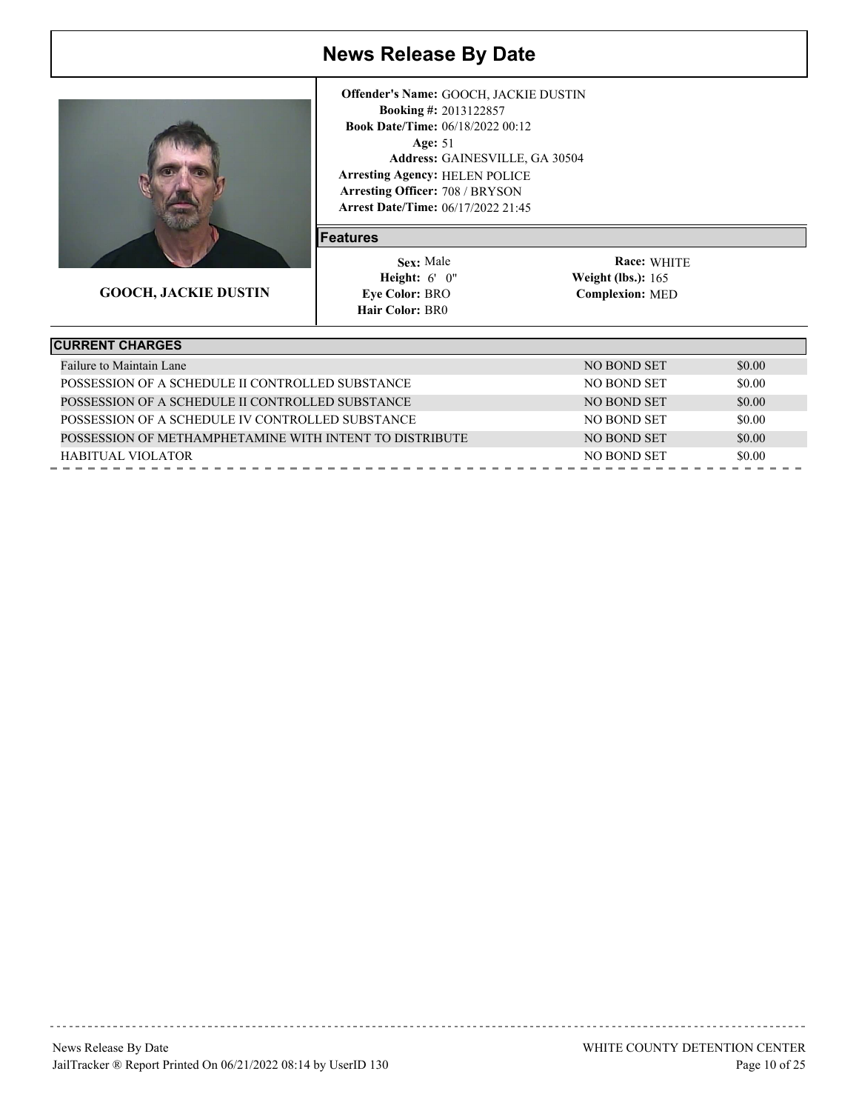

**GOOCH, JACKIE DUSTIN**

**Arrest Date/Time:** 06/17/2022 21:45 Age: 51 **Arresting Agency:** HELEN POLICE Arresting Officer: 708 / BRYSON 2013122857 **Booking #: Book Date/Time: 06/18/2022 00:12** GAINESVILLE, GA 30504 **Address: Offender's Name:** GOOCH, JACKIE DUSTIN

#### **Features**

 6' 0" **Height: Weight (lbs.):** Sex: Male **Eye Color: BRO Hair Color: BR0** 

| <b>CURRENT CHARGES</b>                                  |             |        |
|---------------------------------------------------------|-------------|--------|
| Failure to Maintain Lane                                | NO BOND SET | \$0.00 |
| POSSESSION OF A SCHEDULE II CONTROLLED SUBSTANCE        | NO BOND SET | \$0.00 |
| POSSESSION OF A SCHEDULE II CONTROLLED SUBSTANCE        | NO BOND SET | \$0.00 |
| POSSESSION OF A SCHEDULE IV CONTROLLED SUBSTANCE        | NO BOND SET | \$0.00 |
| POSSESSION OF METHAMPHETAMINE WITH INTENT TO DISTRIBUTE | NO BOND SET | \$0.00 |
| HABITUAL VIOLATOR                                       | NO BOND SET | \$0.00 |
|                                                         |             |        |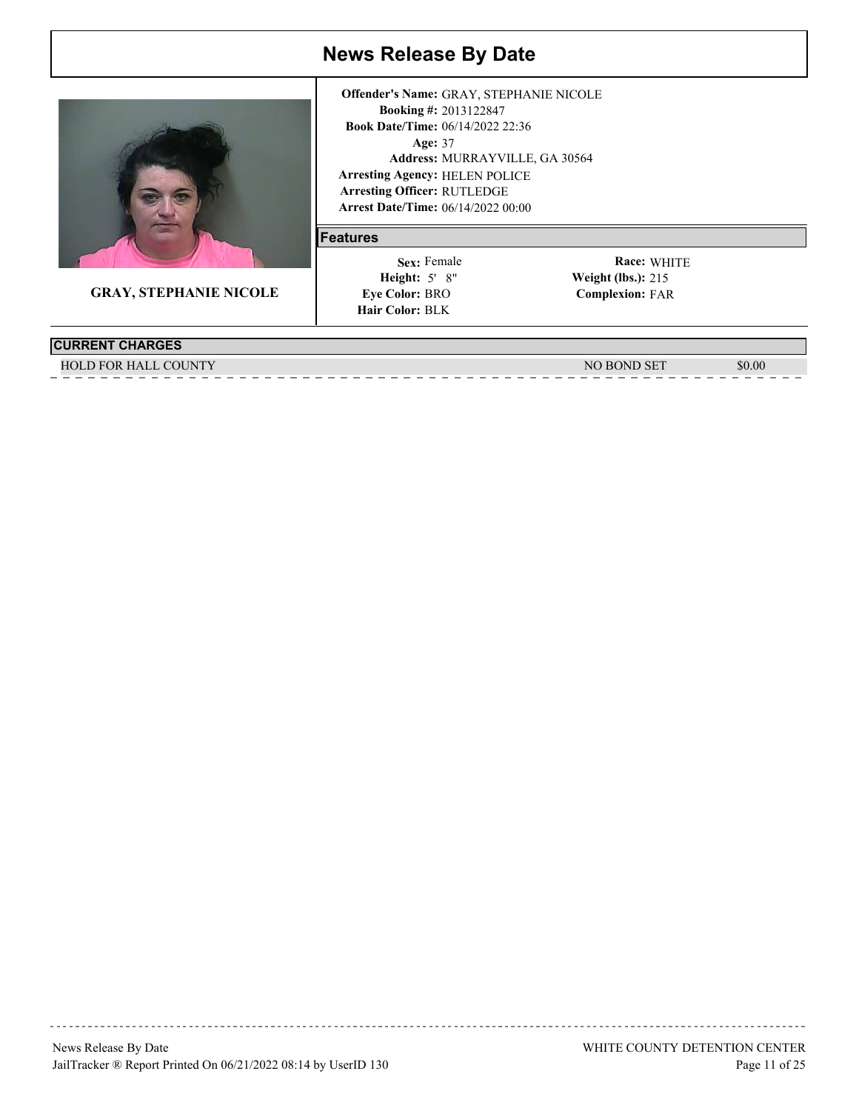

**GRAY, STEPHANIE NICOLE**

#### **Arrest Date/Time:** 06/14/2022 00:00 Age: 37 **Arresting Agency:** HELEN POLICE Arresting Officer: RUTLEDGE 2013122847 **Booking #:** 06/14/2022 22:36 **Book Date/Time:** MURRAYVILLE, GA 30564 **Address: Offender's Name:** GRAY, STEPHANIE NICOLE

#### **Features**

 5' 8" **Height: Weight (lbs.):** Sex: Female **Eye Color: BRO Hair Color: BLK** 

WHITE **Race: Complexion:** FAR **Weight (lbs.): 215** 

**CURRENT CHARGES**

HOLD FOR HALL COUNTY SUBSET AND SOLUTE AND THE SET ASSAULT OF THE SET AND SOLUTE ASSAULT OF THE SOLUTE AND SOLUTE ASSAULT OF THE SOLUTE ASSAULT OF THE SOLUTE ASSAULT OF THE SOLUTE ASSAULT OF THE SOLUTE ASSAULT OF THE SOLUT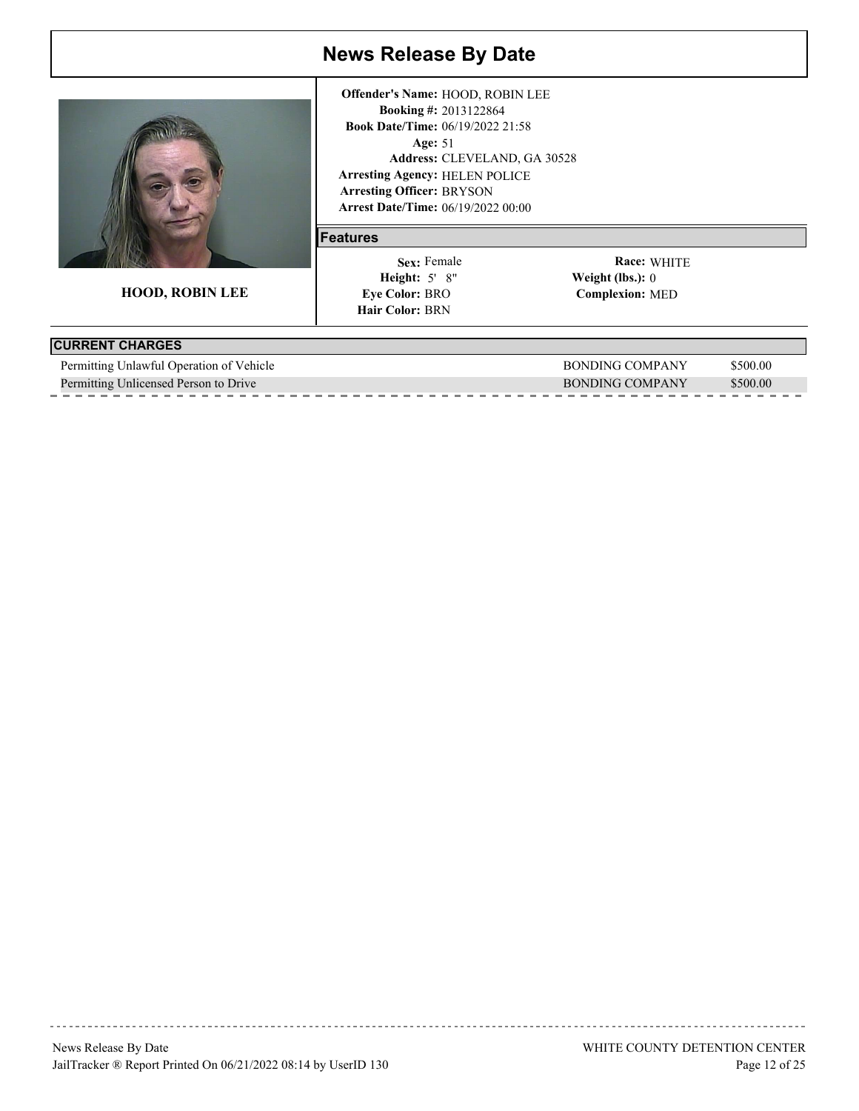

**HOOD, ROBIN LEE**

**Arrest Date/Time:** 06/19/2022 00:00 Age: 51 **Arresting Agency:** HELEN POLICE Arresting Officer: BRYSON 2013122864 **Booking #:** 06/19/2022 21:58 **Book Date/Time:** CLEVELAND, GA 30528 **Address: Offender's Name:** HOOD, ROBIN LEE

#### **Features**

 5' 8" **Height: Weight (lbs.):** Sex: Female **Eye Color: BRO Hair Color: BRN** 

| <b>CURRENT CHARGES</b>                   |                 |          |
|------------------------------------------|-----------------|----------|
| Permitting Unlawful Operation of Vehicle | BONDING COMPANY | \$500.00 |
| Permitting Unlicensed Person to Drive    | BONDING COMPANY | \$500.00 |
|                                          |                 |          |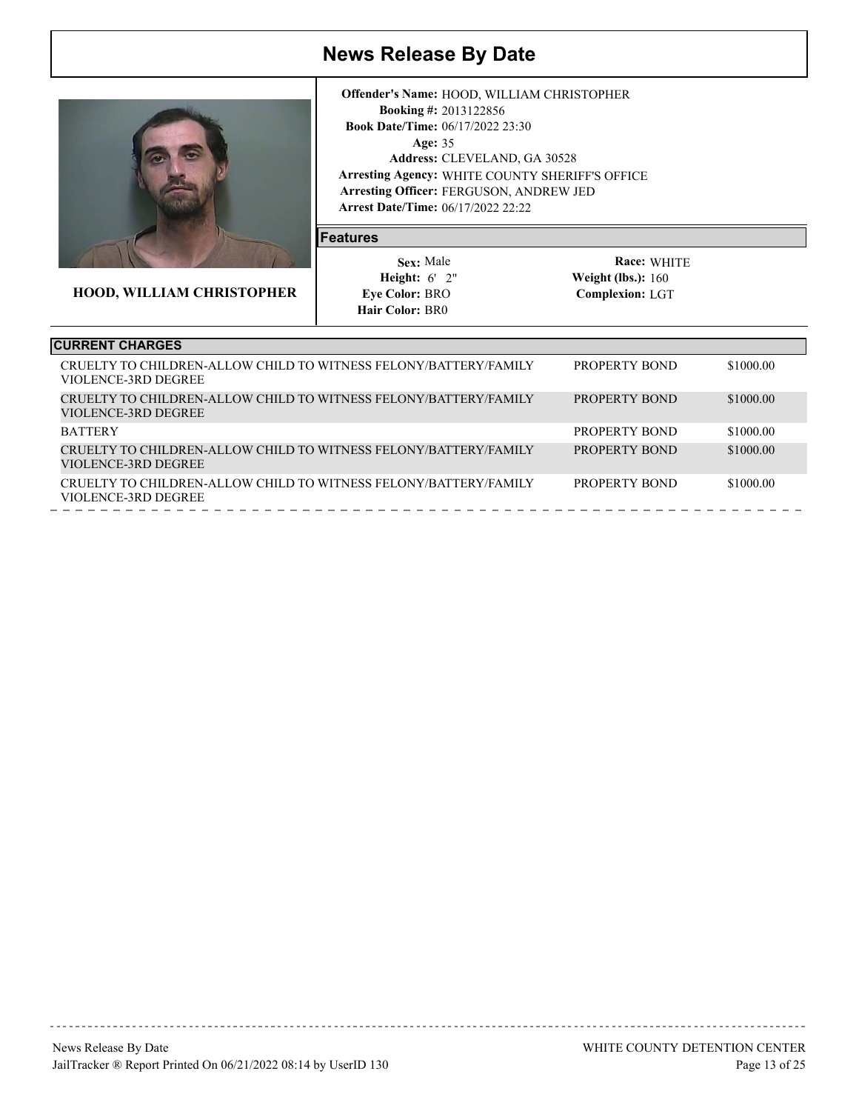

**HOOD, WILLIAM CHRISTOPHER**

**Arrest Date/Time:** 06/17/2022 22:22 Age: 35 **Arresting Agency:** WHITE COUNTY SHERIFF'S OFFICE Arresting Officer: FERGUSON, ANDREW JED 2013122856 **Booking #:** 06/17/2022 23:30 **Book Date/Time:** CLEVELAND, GA 30528 **Address: Offender's Name:** HOOD, WILLIAM CHRISTOPHER

#### **Features**

 6' 2" **Height: Weight (lbs.):** Sex: Male **Eye Color: BRO Hair Color: BR0** 

| <b>CURRENT CHARGES</b>                                                                  |               |           |
|-----------------------------------------------------------------------------------------|---------------|-----------|
| CRUELTY TO CHILDREN-ALLOW CHILD TO WITNESS FELONY/BATTERY/FAMILY<br>VIOLENCE-3RD DEGREE | PROPERTY BOND | \$1000.00 |
| CRUELTY TO CHILDREN-ALLOW CHILD TO WITNESS FELONY/BATTERY/FAMILY<br>VIOLENCE-3RD DEGREE | PROPERTY BOND | \$1000.00 |
| <b>BATTERY</b>                                                                          | PROPERTY BOND | \$1000.00 |
| CRUELTY TO CHILDREN-ALLOW CHILD TO WITNESS FELONY/BATTERY/FAMILY<br>VIOLENCE-3RD DEGREE | PROPERTY BOND | \$1000.00 |
| CRUELTY TO CHILDREN-ALLOW CHILD TO WITNESS FELONY/BATTERY/FAMILY<br>VIOLENCE-3RD DEGREE | PROPERTY BOND | \$1000.00 |
|                                                                                         |               |           |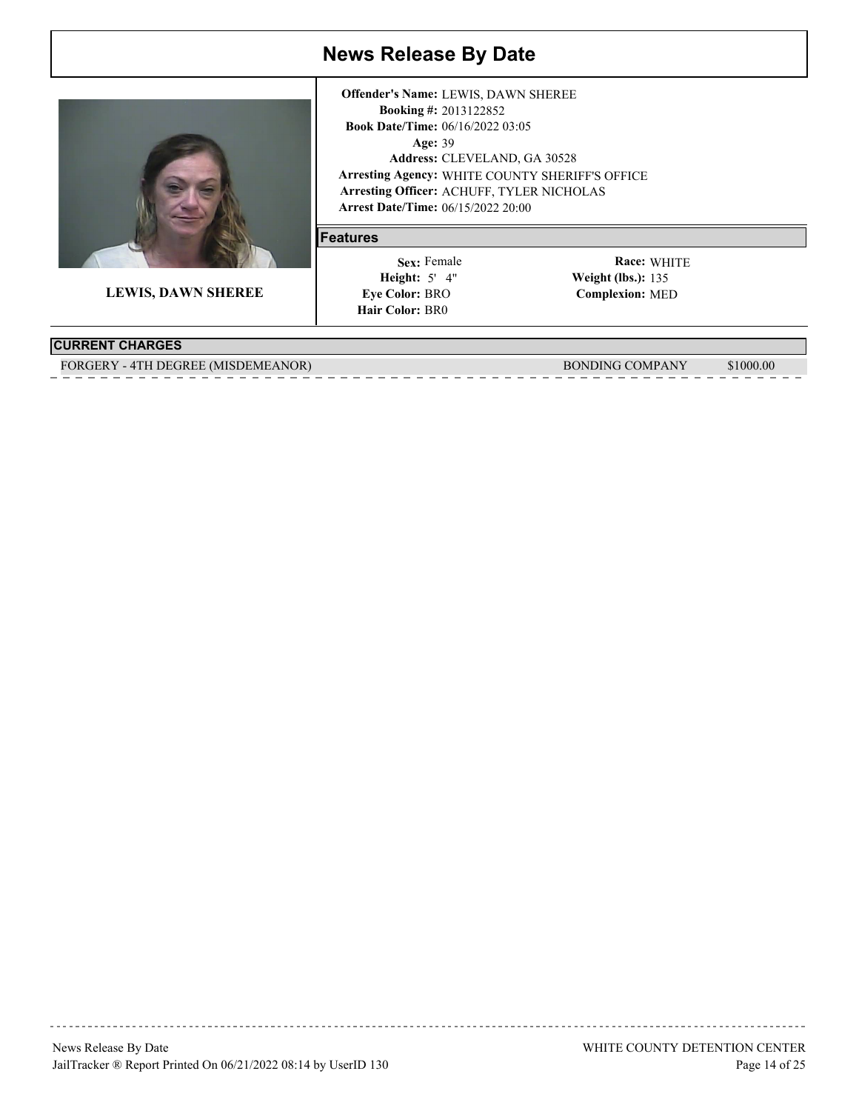

**LEWIS, DAWN SHEREE**

**Arrest Date/Time:** 06/15/2022 20:00 Age: 39 **Arresting Agency:** WHITE COUNTY SHERIFF'S OFFICE Arresting Officer: ACHUFF, TYLER NICHOLAS 2013122852 **Booking #:** 06/16/2022 03:05 **Book Date/Time:** CLEVELAND, GA 30528 **Address: Offender's Name:** LEWIS, DAWN SHEREE

#### **Features**

 5' 4" **Height: Weight (lbs.):** Sex: Female **Eye Color: BRO Hair Color: BR0** 

WHITE **Race: Complexion:** MED Weight (lbs.): 135

#### **CURRENT CHARGES**

FORGERY - 4TH DEGREE (MISDEMEANOR) BONDING COMPANY \$1000.00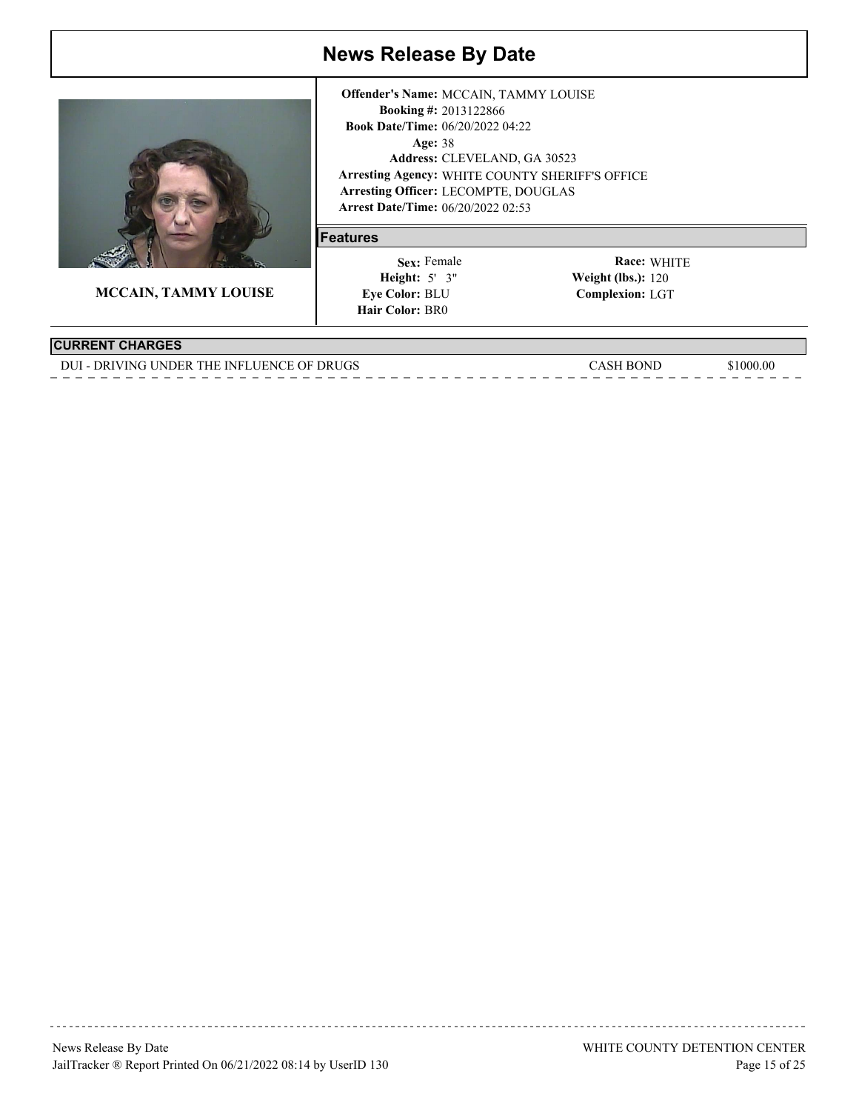

**MCCAIN, TAMMY LOUISE**

**Arrest Date/Time:** 06/20/2022 02:53 Age: 38 **Arresting Agency:** WHITE COUNTY SHERIFF'S OFFICE Arresting Officer: LECOMPTE, DOUGLAS 2013122866 **Booking #:** Book Date/Time: 06/20/2022 04:22 CLEVELAND, GA 30523 **Address: Offender's Name:** MCCAIN, TAMMY LOUISE

#### **Features**

 5' 3" **Height: Weight (lbs.):** Sex: Female **Eye Color: BLU Hair Color: BR0** 

WHITE **Race: Complexion:** LGT Weight (lbs.):  $120$ 

#### **CURRENT CHARGES**

DUI - DRIVING UNDER THE INFLUENCE OF DRUGS CASH BOND \$1000.00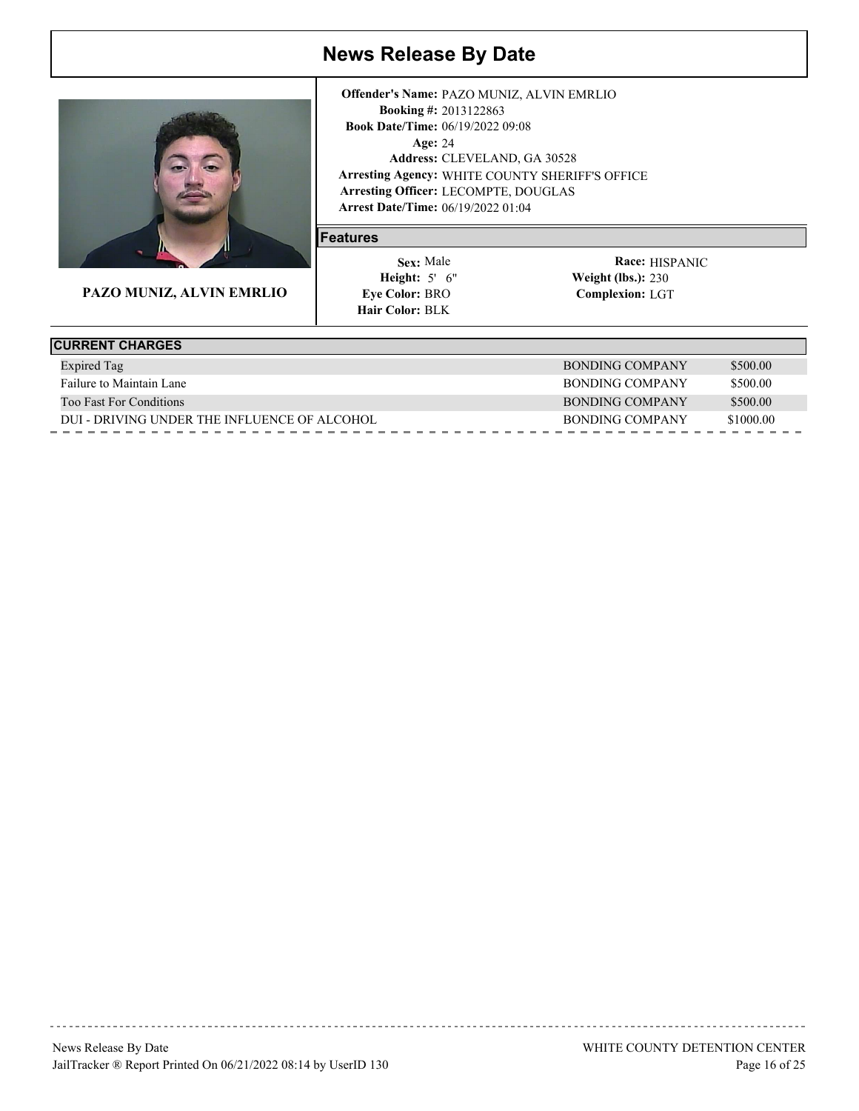

**PAZO MUNIZ, ALVIN EMRLIO**

**Arrest Date/Time:** 06/19/2022 01:04 Age: 24 **Arresting Agency:** WHITE COUNTY SHERIFF'S OFFICE Arresting Officer: LECOMPTE, DOUGLAS 2013122863 **Booking #:** 06/19/2022 09:08 **Book Date/Time:** CLEVELAND, GA 30528 **Address: Offender's Name:** PAZO MUNIZ, ALVIN EMRLIO

#### **Features**

 5' 6" **Height: Weight (lbs.):** Sex: Male **Eye Color: BRO Hair Color: BLK** 

Race: **HISPANIC Complexion:** LGT **Weight (lbs.): 230** 

| <b>CURRENT CHARGES</b>                       |                 |           |
|----------------------------------------------|-----------------|-----------|
| <b>Expired Tag</b>                           | BONDING COMPANY | \$500.00  |
| Failure to Maintain Lane                     | BONDING COMPANY | \$500.00  |
| <b>Too Fast For Conditions</b>               | BONDING COMPANY | \$500.00  |
| DUI - DRIVING UNDER THE INFLUENCE OF ALCOHOL | BONDING COMPANY | \$1000.00 |
|                                              |                 |           |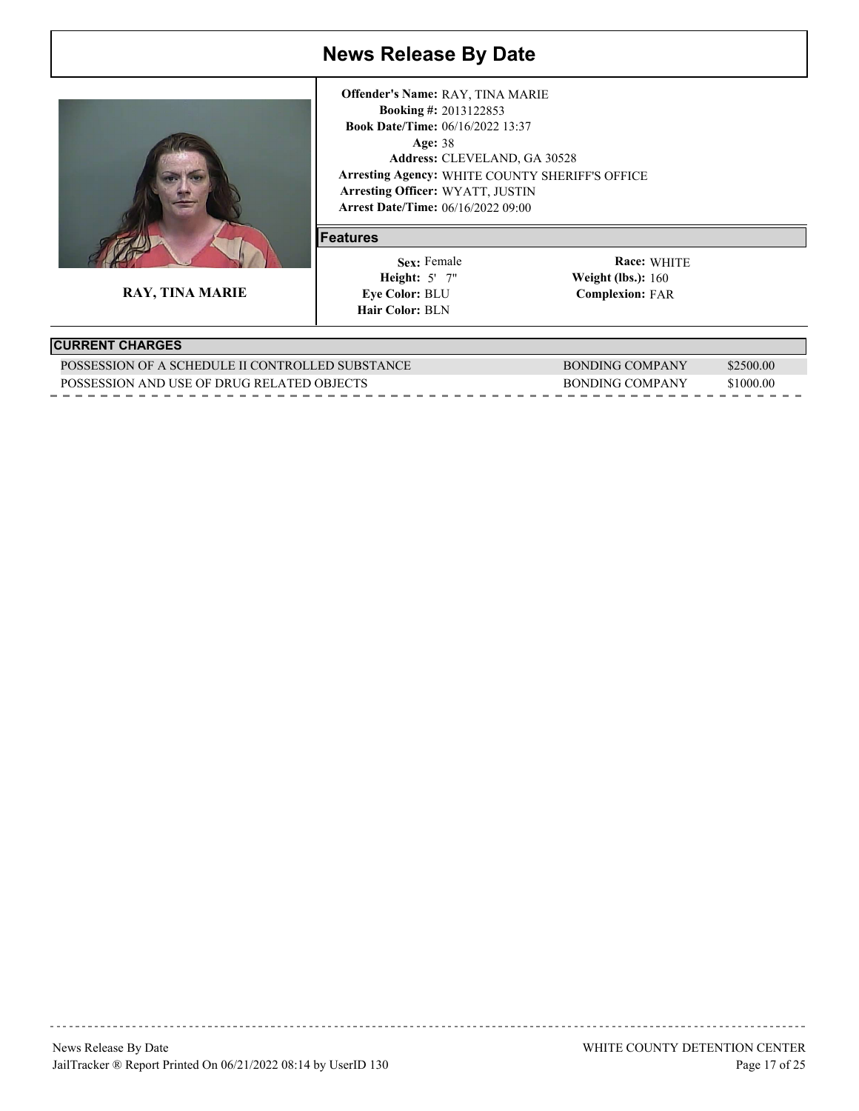

**RAY, TINA MARIE**

**Arrest Date/Time:** 06/16/2022 09:00 Age: 38 **Arresting Agency:** WHITE COUNTY SHERIFF'S OFFICE Arresting Officer: WYATT, JUSTIN 2013122853 **Booking #:** 06/16/2022 13:37 **Book Date/Time:** CLEVELAND, GA 30528 **Address: Offender's Name:** RAY, TINA MARIE

#### **Features**

 5' 7" **Height: Weight (lbs.):** Sex: Female **Eye Color: BLU Hair Color: BLN** 

WHITE **Race: Complexion:** FAR Weight (lbs.): 160

### **CURRENT CHARGES**

| POSSESSION OF A SCHEDULE II CONTROLLED SUBSTANCE | BONDING COMPANY | 2500.00   |
|--------------------------------------------------|-----------------|-----------|
| POSSESSION AND USE OF DRUG RELATED OBJECTS       | BONDING COMPANY | \$1000.00 |
|                                                  |                 |           |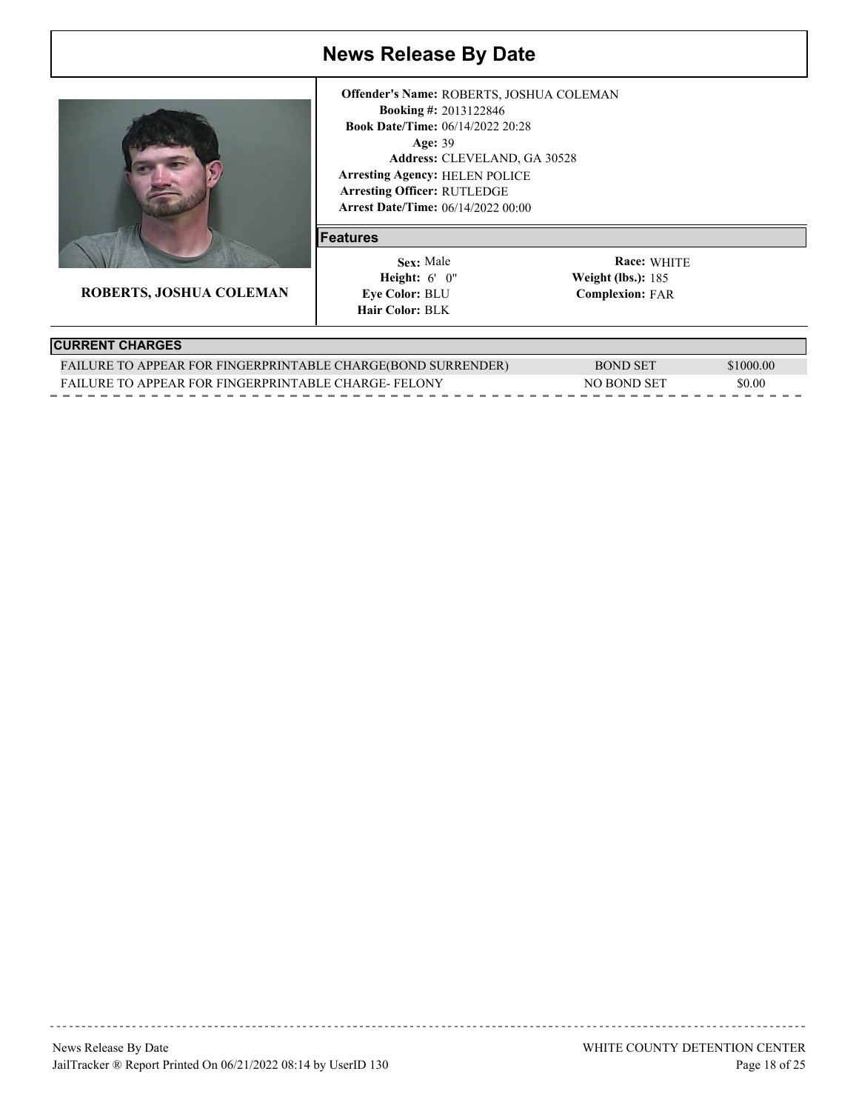

**ROBERTS, JOSHUA COLEMAN**

**Arrest Date/Time:** 06/14/2022 00:00 Age: 39 **Arresting Agency:** HELEN POLICE Arresting Officer: RUTLEDGE 2013122846 **Booking #:** 06/14/2022 20:28 **Book Date/Time:** CLEVELAND, GA 30528 **Address: Offender's Name:** ROBERTS, JOSHUA COLEMAN

#### **Features**

 6' 0" **Height: Weight (lbs.):** Sex: Male **Eye Color: BLU Hair Color: BLK** 

WHITE **Race: Complexion:** FAR Weight (lbs.): 185

### **CURRENT CHARGES**

| FAILURE TO APPEAR FOR FINGERPRINTABLE CHARGE(BOND SURRENDER) | BOND SET    | \$1000.00 |
|--------------------------------------------------------------|-------------|-----------|
| <b>FAILURE TO APPEAR FOR FINGERPRINTABLE CHARGE-FELONY</b>   | NO BOND SET | \$0.00    |
|                                                              |             |           |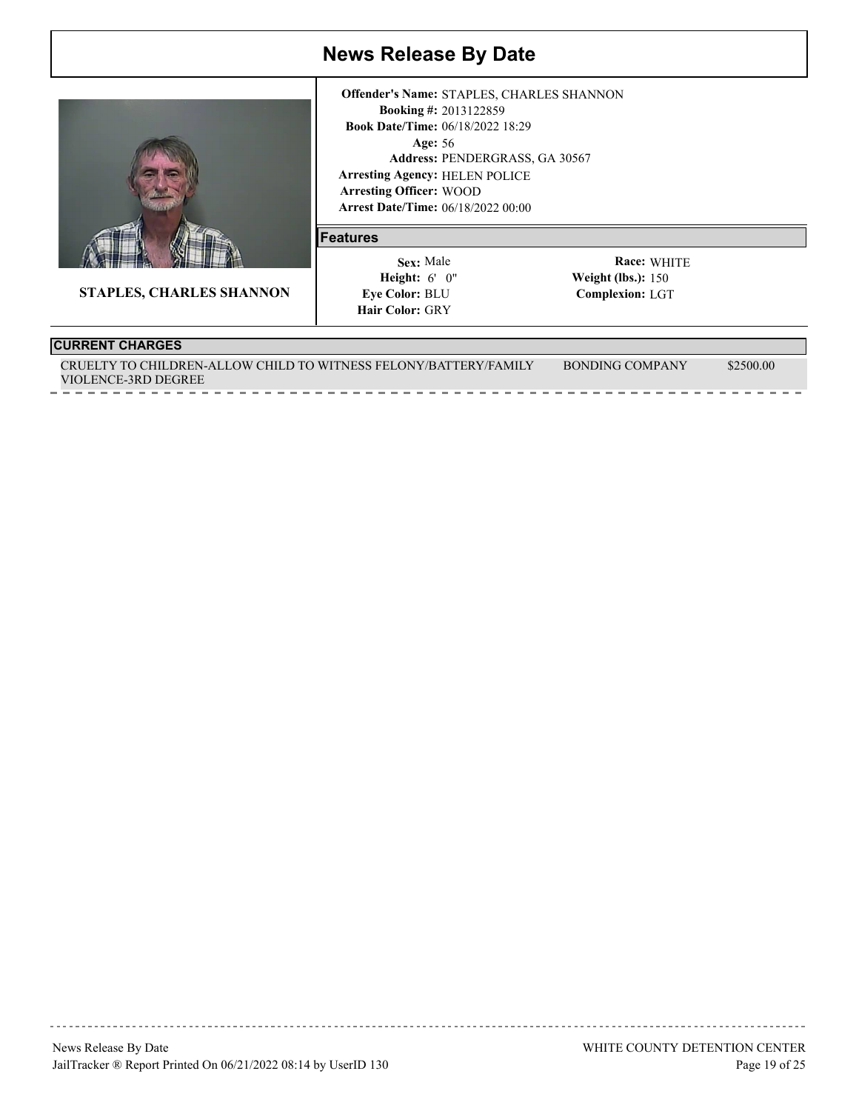

**STAPLES, CHARLES SHANNON**

**Arrest Date/Time:** 06/18/2022 00:00 Age: 56 **Arresting Agency:** HELEN POLICE Arresting Officer: WOOD 2013122859 **Booking #:** 06/18/2022 18:29 **Book Date/Time:** PENDERGRASS, GA 30567 **Address: Offender's Name:** STAPLES, CHARLES SHANNON

#### **Features**

 6' 0" **Height: Weight (lbs.):** Sex: Male **Eye Color: BLU Hair Color: GRY** 

WHITE **Race: Complexion:** LGT Weight (lbs.):  $150$ 

#### **CURRENT CHARGES**

CRUELTY TO CHILDREN-ALLOW CHILD TO WITNESS FELONY/BATTERY/FAMILY VIOLENCE-3RD DEGREE BONDING COMPANY \$2500.00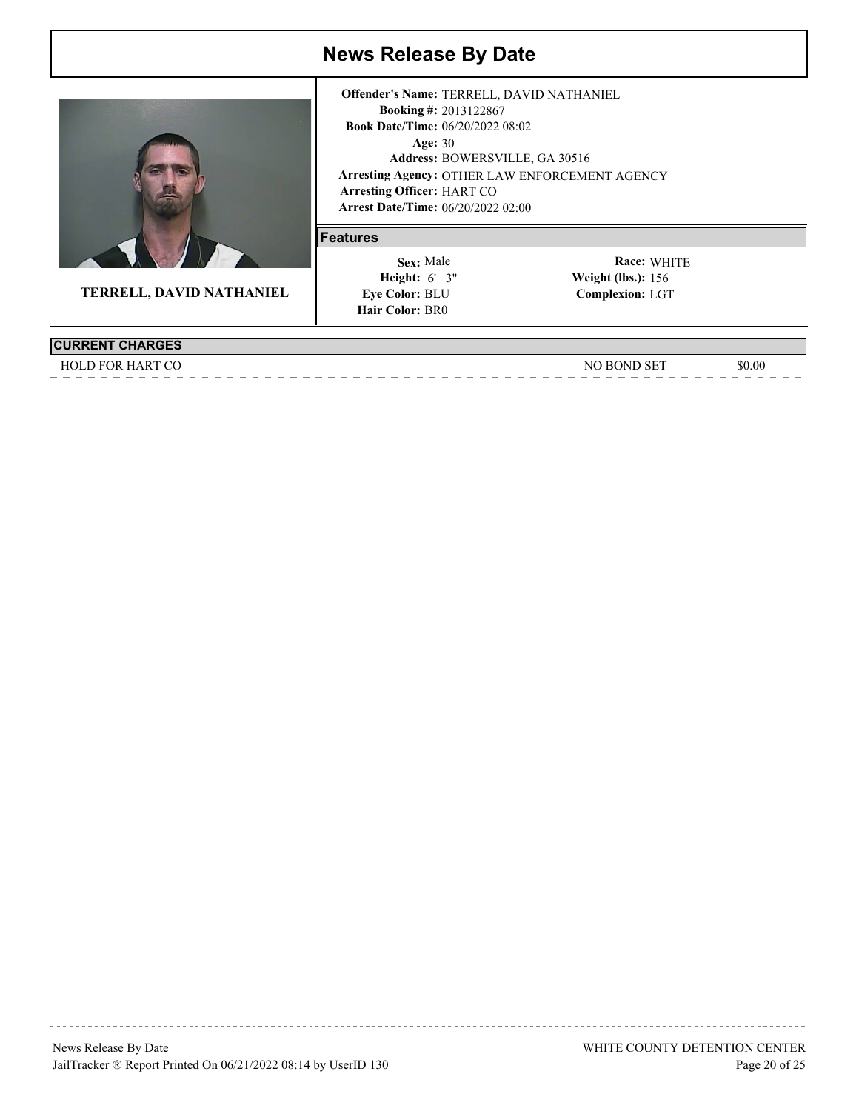

**TERRELL, DAVID NATHANIEL**

|                                           | <b>Offender's Name: TERRELL, DAVID NATHANIEL</b> |
|-------------------------------------------|--------------------------------------------------|
|                                           | <b>Booking #: 2013122867</b>                     |
| <b>Book Date/Time: 06/20/2022 08:02</b>   |                                                  |
| Age: $30$                                 |                                                  |
|                                           | Address: BOWERSVILLE, GA 30516                   |
|                                           | Arresting Agency: OTHER LAW ENFORCEMENT AGENCY   |
| <b>Arresting Officer: HART CO</b>         |                                                  |
| <b>Arrest Date/Time: 06/20/2022 02:00</b> |                                                  |

### **Features**

 6' 3" **Height: Weight (lbs.):** Sex: Male **Eye Color: BLU Hair Color: BR0** 

WHITE **Race: Complexion:** LGT Weight (lbs.): 156

**CURRENT CHARGES** HOLD FOR HART CO SOLUTION AND THE SOLUTION OF THE SOLUTION OF THE SOLUTION OF THE SOLUTION OF THE SOLUTION OF THE SOLUTION OF THE SOLUTION OF THE SOLUTION OF THE SOLUTION OF THE SOLUTION OF THE SOLUTION OF THE SOLUTION OF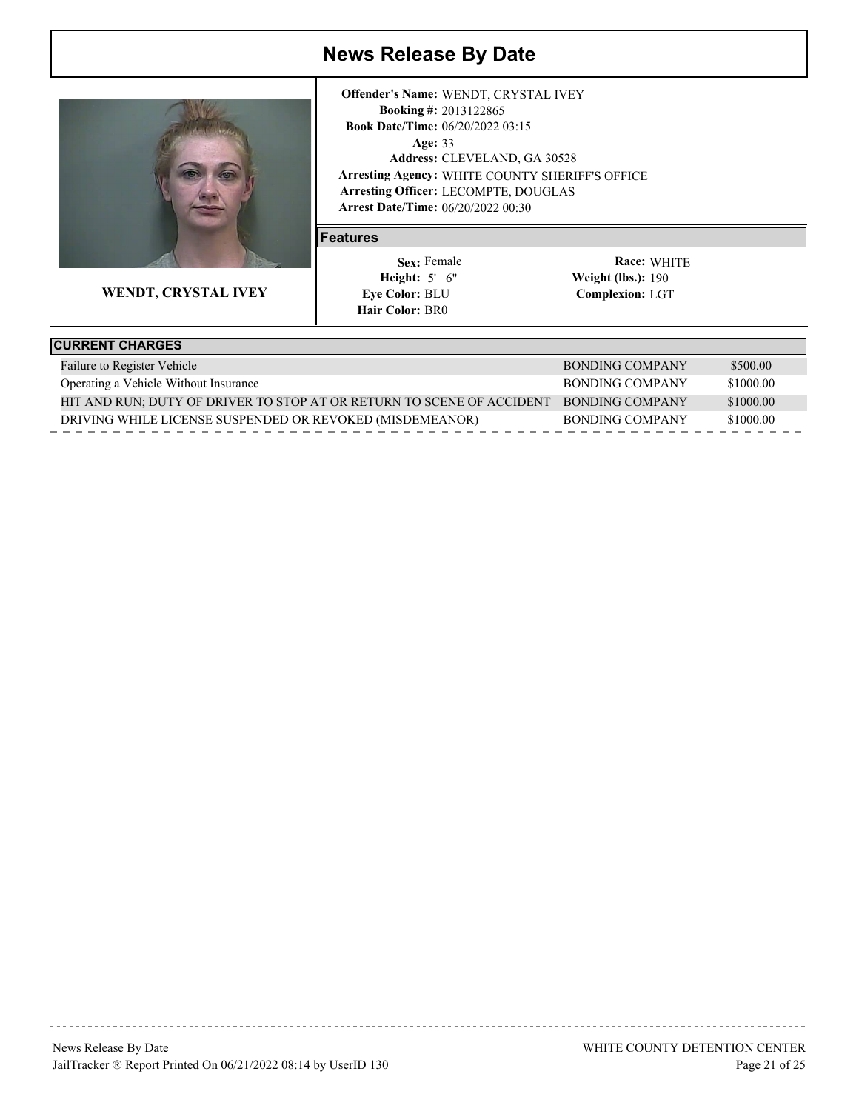

**WENDT, CRYSTAL IVEY**

**Arrest Date/Time:** 06/20/2022 00:30 Age: 33 **Arresting Agency:** WHITE COUNTY SHERIFF'S OFFICE Arresting Officer: LECOMPTE, DOUGLAS 2013122865 **Booking #:** 06/20/2022 03:15 **Book Date/Time:** CLEVELAND, GA 30528 **Address: Offender's Name:** WENDT, CRYSTAL IVEY

#### **Features**

 5' 6" **Height: Weight (lbs.):** Sex: Female **Eye Color: BLU Hair Color: BR0** 

| <b>CURRENT CHARGES</b>                                                |                 |           |
|-----------------------------------------------------------------------|-----------------|-----------|
| Failure to Register Vehicle                                           | BONDING COMPANY | \$500.00  |
| Operating a Vehicle Without Insurance                                 | BONDING COMPANY | \$1000.00 |
| HIT AND RUN; DUTY OF DRIVER TO STOP AT OR RETURN TO SCENE OF ACCIDENT | BONDING COMPANY | \$1000.00 |
| DRIVING WHILE LICENSE SUSPENDED OR REVOKED (MISDEMEANOR)              | BONDING COMPANY | \$1000.00 |
|                                                                       |                 |           |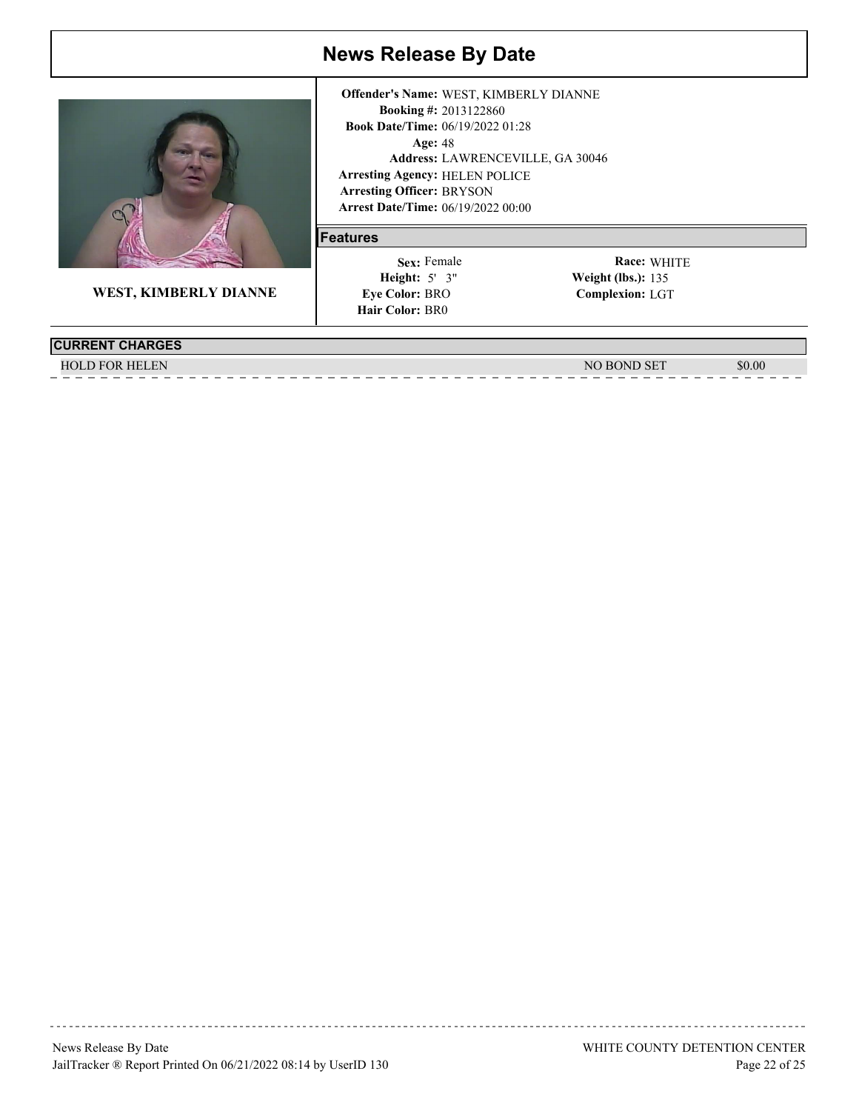

**WEST, KIMBERLY DIANNE**

**Arrest Date/Time:** 06/19/2022 00:00 Age: 48 **Arresting Agency:** HELEN POLICE Arresting Officer: BRYSON 2013122860 **Booking #:** 06/19/2022 01:28 **Book Date/Time:** LAWRENCEVILLE, GA 30046 **Address: Offender's Name:** WEST, KIMBERLY DIANNE

#### **Features**

 5' 3" **Height: Weight (lbs.):** Sex: Female **Eye Color: BRO Hair Color: BR0** 

| <b>CURRENT CHARGES</b> |                       |        |
|------------------------|-----------------------|--------|
| <b>HOLD FOR HELEN</b>  | <b>BOND SET</b><br>NG | \$0.00 |
|                        |                       |        |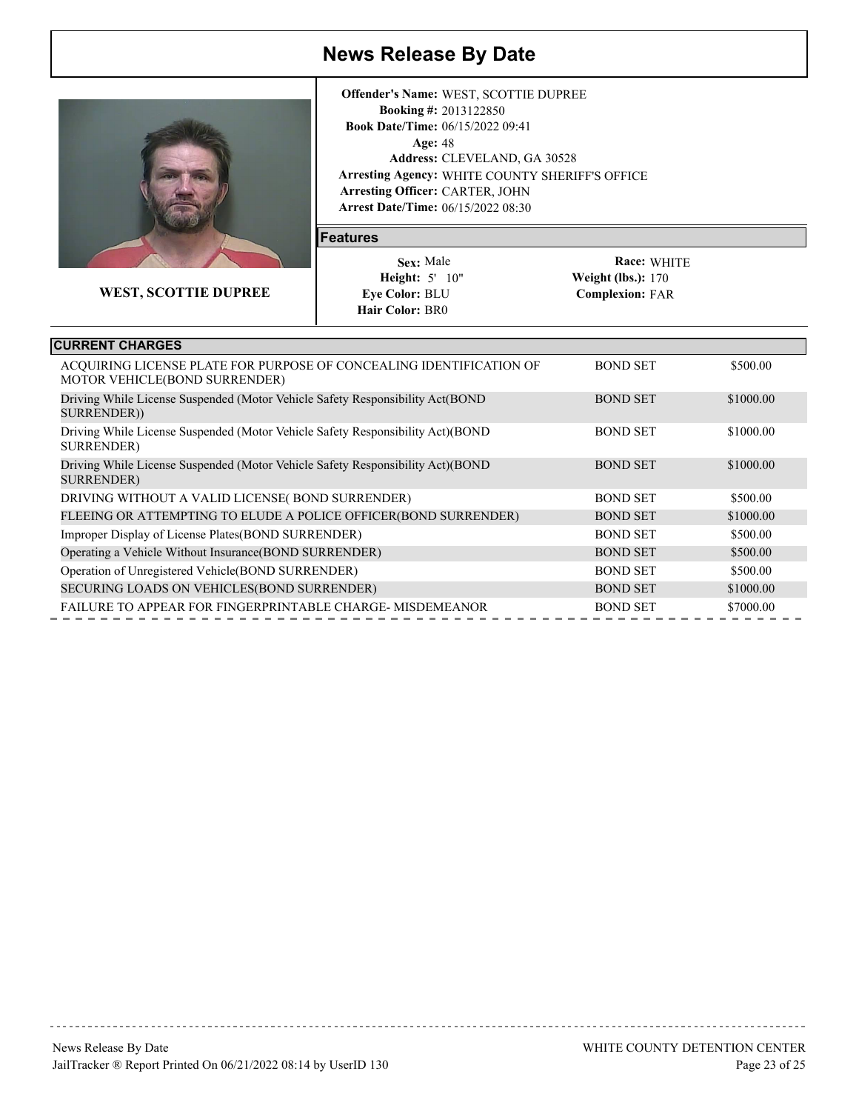

**WEST, SCOTTIE DUPREE**

**Arrest Date/Time:** 06/15/2022 08:30 Age: 48 **Arresting Agency:** WHITE COUNTY SHERIFF'S OFFICE Arresting Officer: CARTER, JOHN 2013122850 **Booking #: Book Date/Time: 06/15/2022 09:41** CLEVELAND, GA 30528 **Address: Offender's Name:** WEST, SCOTTIE DUPREE

#### **Features**

 5' 10" **Height: Weight (lbs.):** Sex: Male **Eye Color: BLU Hair Color: BR0** 

| <b>CURRENT CHARGES</b>                                                                               |                 |           |  |
|------------------------------------------------------------------------------------------------------|-----------------|-----------|--|
| ACQUIRING LICENSE PLATE FOR PURPOSE OF CONCEALING IDENTIFICATION OF<br>MOTOR VEHICLE(BOND SURRENDER) | <b>BOND SET</b> | \$500.00  |  |
| Driving While License Suspended (Motor Vehicle Safety Responsibility Act(BOND)<br>SURRENDER))        | <b>BOND SET</b> | \$1000.00 |  |
| Driving While License Suspended (Motor Vehicle Safety Responsibility Act) (BOND<br>SURRENDER)        | <b>BOND SET</b> | \$1000.00 |  |
| Driving While License Suspended (Motor Vehicle Safety Responsibility Act) (BOND<br><b>SURRENDER)</b> | <b>BOND SET</b> | \$1000.00 |  |
| DRIVING WITHOUT A VALID LICENSE(BOND SURRENDER)                                                      | <b>BOND SET</b> | \$500.00  |  |
| FLEEING OR ATTEMPTING TO ELUDE A POLICE OFFICER(BOND SURRENDER)                                      | <b>BOND SET</b> | \$1000.00 |  |
| Improper Display of License Plates (BOND SURRENDER)                                                  | <b>BOND SET</b> | \$500.00  |  |
| Operating a Vehicle Without Insurance (BOND SURRENDER)                                               | <b>BOND SET</b> | \$500.00  |  |
| Operation of Unregistered Vehicle(BOND SURRENDER)                                                    | <b>BOND SET</b> | \$500.00  |  |
| SECURING LOADS ON VEHICLES (BOND SURRENDER)                                                          | <b>BOND SET</b> | \$1000.00 |  |
| <b>FAILURE TO APPEAR FOR FINGERPRINTABLE CHARGE-MISDEMEANOR</b>                                      | <b>BOND SET</b> | \$7000.00 |  |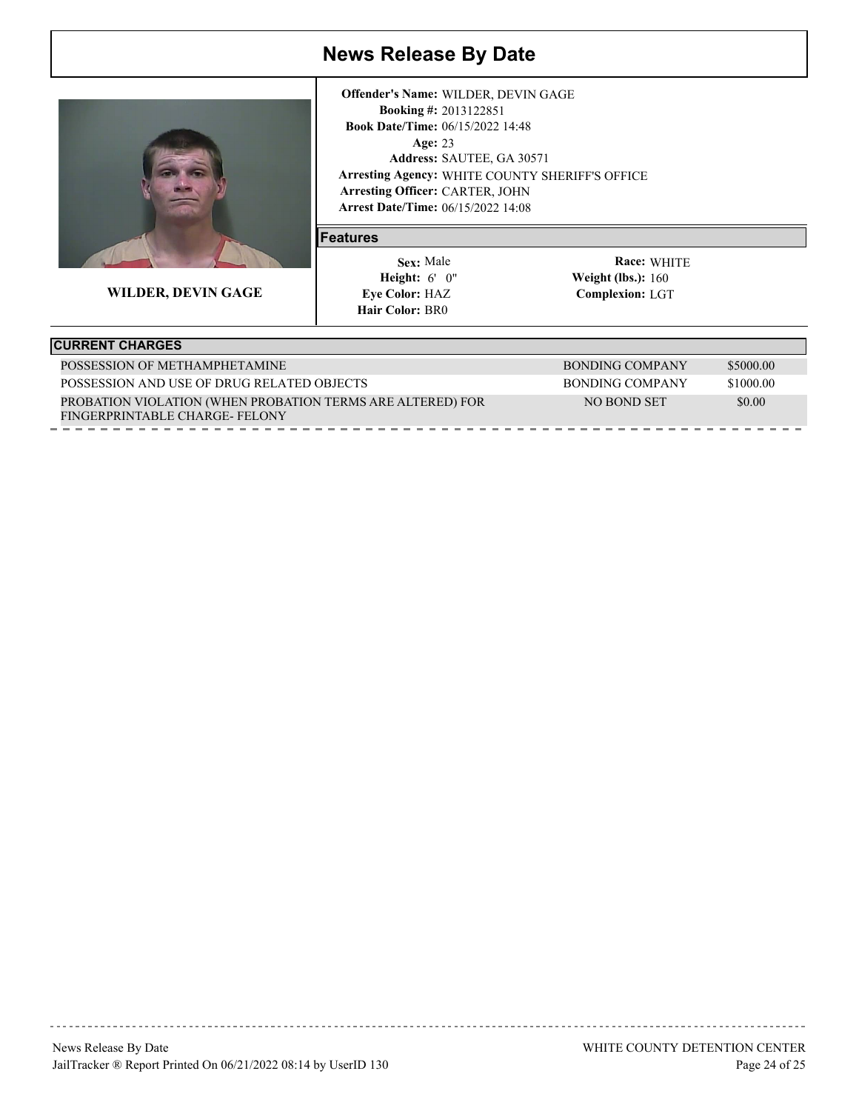

**WILDER, DEVIN GAGE**

**Arrest Date/Time:** 06/15/2022 14:08 Age: 23 **Arresting Agency:** WHITE COUNTY SHERIFF'S OFFICE Arresting Officer: CARTER, JOHN 2013122851 **Booking #:** 06/15/2022 14:48 **Book Date/Time:** Address: SAUTEE, GA 30571 **Offender's Name:** WILDER, DEVIN GAGE

#### **Features**

 6' 0" **Height: Weight (lbs.):** Sex: Male **Eye Color: HAZ Hair Color: BR0** 

| <b>CURRENT CHARGES</b>                                                                      |                 |           |
|---------------------------------------------------------------------------------------------|-----------------|-----------|
| POSSESSION OF METHAMPHETAMINE                                                               | BONDING COMPANY | \$5000.00 |
| POSSESSION AND USE OF DRUG RELATED OBJECTS                                                  | BONDING COMPANY | \$1000.00 |
| PROBATION VIOLATION (WHEN PROBATION TERMS ARE ALTERED) FOR<br>FINGERPRINTABLE CHARGE-FELONY | NO BOND SET     | \$0.00    |
|                                                                                             |                 |           |